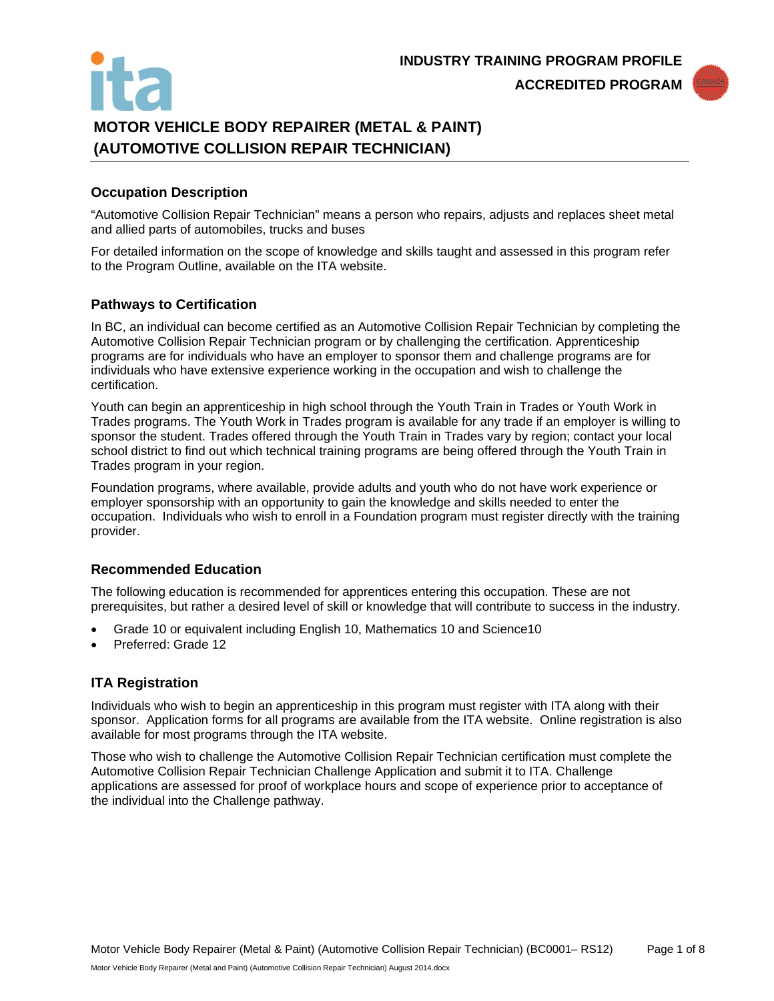

# **MOTOR VEHICLE BODY REPAIRER (METAL & PAINT) (AUTOMOTIVE COLLISION REPAIR TECHNICIAN)**

#### **Occupation Description**

"Automotive Collision Repair Technician" means a person who repairs, adjusts and replaces sheet metal and allied parts of automobiles, trucks and buses

For detailed information on the scope of knowledge and skills taught and assessed in this program refer to the Program Outline, available on the ITA website.

#### **Pathways to Certification**

In BC, an individual can become certified as an Automotive Collision Repair Technician by completing the Automotive Collision Repair Technician program or by challenging the certification. Apprenticeship programs are for individuals who have an employer to sponsor them and challenge programs are for individuals who have extensive experience working in the occupation and wish to challenge the certification.

Youth can begin an apprenticeship in high school through the Youth Train in Trades or Youth Work in Trades programs. The Youth Work in Trades program is available for any trade if an employer is willing to sponsor the student. Trades offered through the Youth Train in Trades vary by region; contact your local school district to find out which technical training programs are being offered through the Youth Train in Trades program in your region.

Foundation programs, where available, provide adults and youth who do not have work experience or employer sponsorship with an opportunity to gain the knowledge and skills needed to enter the occupation. Individuals who wish to enroll in a Foundation program must register directly with the training provider.

# **Recommended Education**

The following education is recommended for apprentices entering this occupation. These are not prerequisites, but rather a desired level of skill or knowledge that will contribute to success in the industry.

- Grade 10 or equivalent including English 10, Mathematics 10 and Science10
- Preferred: Grade 12

#### **ITA Registration**

Individuals who wish to begin an apprenticeship in this program must register with ITA along with their sponsor. Application forms for all programs are available from the ITA website. Online registration is also available for most programs through the ITA website.

Those who wish to challenge the Automotive Collision Repair Technician certification must complete the Automotive Collision Repair Technician Challenge Application and submit it to ITA. Challenge applications are assessed for proof of workplace hours and scope of experience prior to acceptance of the individual into the Challenge pathway.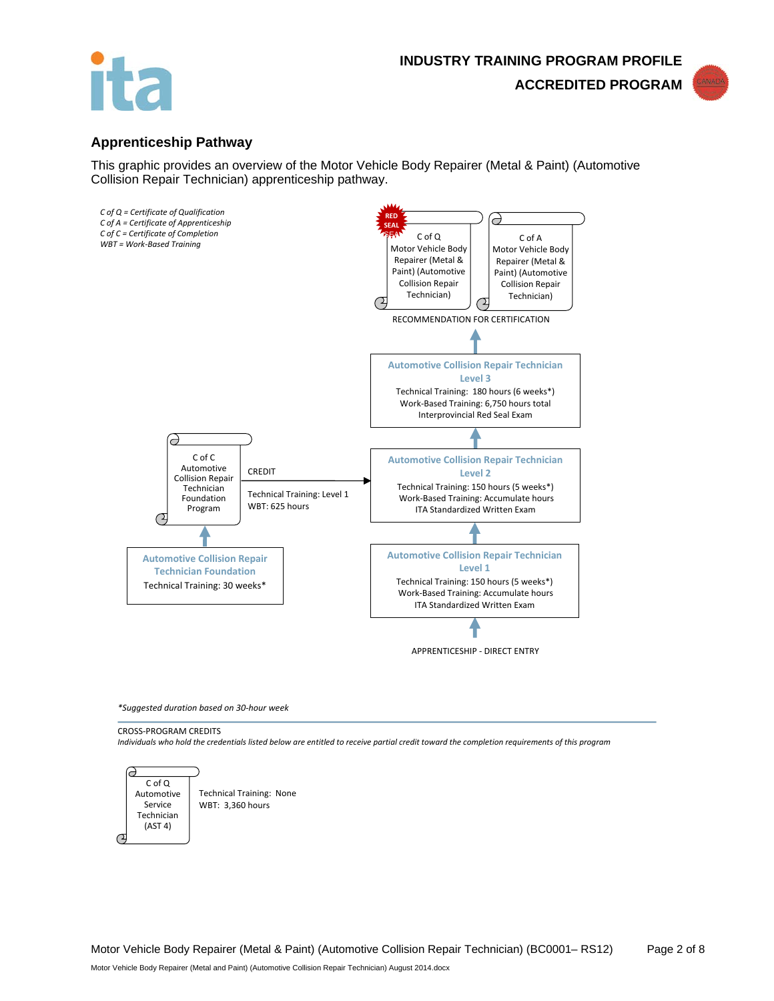



#### **Apprenticeship Pathway**

This graphic provides an overview of the Motor Vehicle Body Repairer (Metal & Paint) (Automotive Collision Repair Technician) apprenticeship pathway.



*\*Suggested duration based on 30-hour week*

CROSS-PROGRAM CREDITS



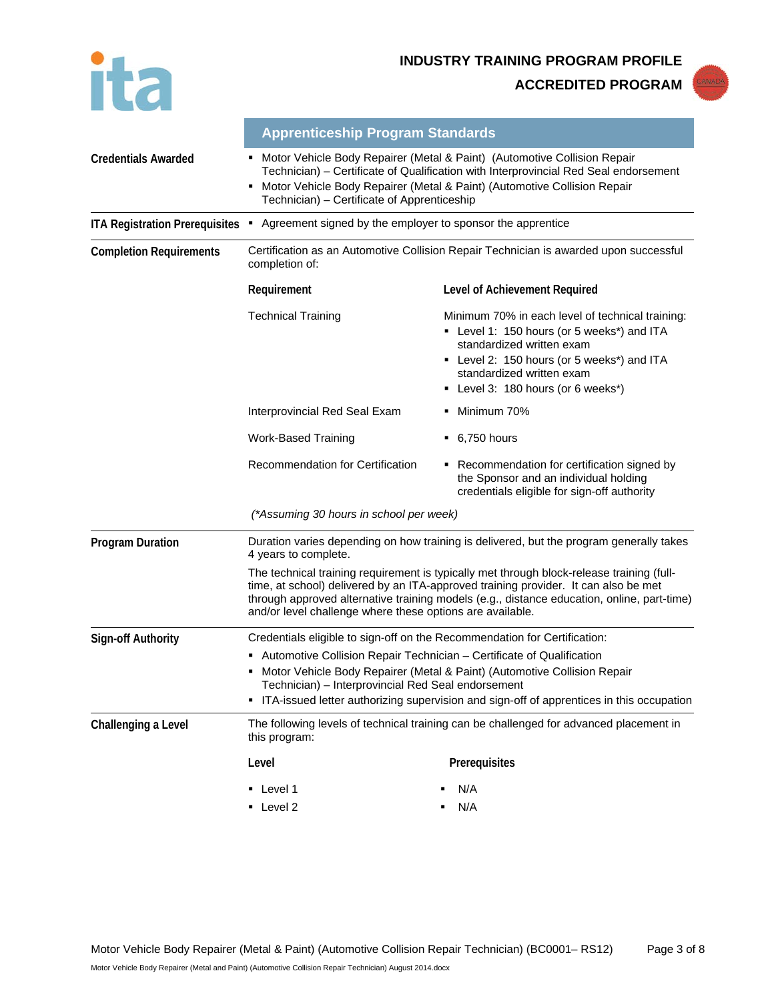

**INDUSTRY TRAINING PROGRAM PROFILE**

**ACCREDITED PROGRAM**



|                                       | <b>Apprenticeship Program Standards</b>                                                                                                                                                                                                                                                                                                                                              |                                                                                                                                                                                                                                            |  |  |
|---------------------------------------|--------------------------------------------------------------------------------------------------------------------------------------------------------------------------------------------------------------------------------------------------------------------------------------------------------------------------------------------------------------------------------------|--------------------------------------------------------------------------------------------------------------------------------------------------------------------------------------------------------------------------------------------|--|--|
| <b>Credentials Awarded</b>            | Motor Vehicle Body Repairer (Metal & Paint) (Automotive Collision Repair<br>Technician) – Certificate of Qualification with Interprovincial Red Seal endorsement<br>Motor Vehicle Body Repairer (Metal & Paint) (Automotive Collision Repair<br>٠<br>Technician) – Certificate of Apprenticeship                                                                                     |                                                                                                                                                                                                                                            |  |  |
| <b>ITA Registration Prerequisites</b> | Agreement signed by the employer to sponsor the apprentice<br>٠                                                                                                                                                                                                                                                                                                                      |                                                                                                                                                                                                                                            |  |  |
| <b>Completion Requirements</b>        | Certification as an Automotive Collision Repair Technician is awarded upon successful<br>completion of:                                                                                                                                                                                                                                                                              |                                                                                                                                                                                                                                            |  |  |
|                                       | Requirement                                                                                                                                                                                                                                                                                                                                                                          | Level of Achievement Required                                                                                                                                                                                                              |  |  |
|                                       | <b>Technical Training</b>                                                                                                                                                                                                                                                                                                                                                            | Minimum 70% in each level of technical training:<br>• Level 1: 150 hours (or 5 weeks*) and ITA<br>standardized written exam<br>• Level 2: 150 hours (or 5 weeks*) and ITA<br>standardized written exam<br>Level 3: 180 hours (or 6 weeks*) |  |  |
|                                       | Interprovincial Red Seal Exam                                                                                                                                                                                                                                                                                                                                                        | Minimum 70%                                                                                                                                                                                                                                |  |  |
|                                       | <b>Work-Based Training</b>                                                                                                                                                                                                                                                                                                                                                           | 6,750 hours                                                                                                                                                                                                                                |  |  |
|                                       | Recommendation for Certification                                                                                                                                                                                                                                                                                                                                                     | Recommendation for certification signed by<br>the Sponsor and an individual holding<br>credentials eligible for sign-off authority                                                                                                         |  |  |
|                                       | (*Assuming 30 hours in school per week)                                                                                                                                                                                                                                                                                                                                              |                                                                                                                                                                                                                                            |  |  |
| <b>Program Duration</b>               | 4 years to complete.                                                                                                                                                                                                                                                                                                                                                                 | Duration varies depending on how training is delivered, but the program generally takes                                                                                                                                                    |  |  |
|                                       | The technical training requirement is typically met through block-release training (full-<br>time, at school) delivered by an ITA-approved training provider. It can also be met<br>through approved alternative training models (e.g., distance education, online, part-time)<br>and/or level challenge where these options are available.                                          |                                                                                                                                                                                                                                            |  |  |
| <b>Sign-off Authority</b>             | Credentials eligible to sign-off on the Recommendation for Certification:<br>• Automotive Collision Repair Technician - Certificate of Qualification<br>Motor Vehicle Body Repairer (Metal & Paint) (Automotive Collision Repair<br>Technician) - Interprovincial Red Seal endorsement<br>• ITA-issued letter authorizing supervision and sign-off of apprentices in this occupation |                                                                                                                                                                                                                                            |  |  |
| Challenging a Level                   | The following levels of technical training can be challenged for advanced placement in<br>this program:                                                                                                                                                                                                                                                                              |                                                                                                                                                                                                                                            |  |  |
|                                       | Level                                                                                                                                                                                                                                                                                                                                                                                | Prerequisites                                                                                                                                                                                                                              |  |  |
|                                       | $\blacksquare$ Level 1<br>Level 2                                                                                                                                                                                                                                                                                                                                                    | N/A<br>N/A                                                                                                                                                                                                                                 |  |  |
|                                       |                                                                                                                                                                                                                                                                                                                                                                                      |                                                                                                                                                                                                                                            |  |  |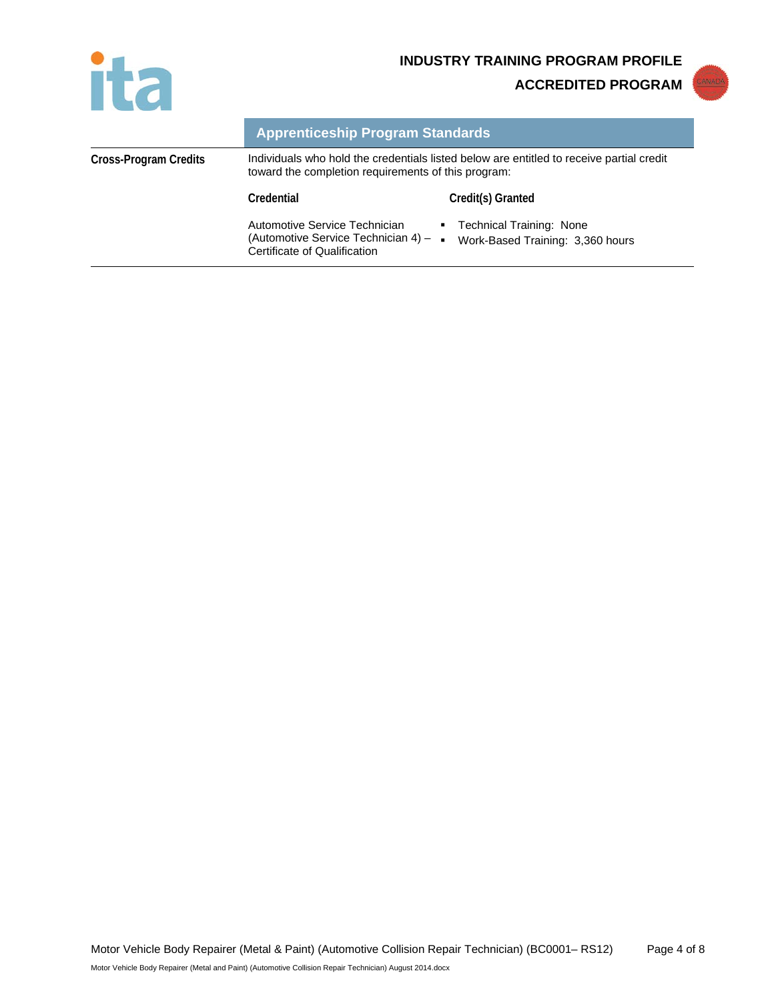

**INDUSTRY TRAINING PROGRAM PROFILE**

**ACCREDITED PROGRAM**



|                       | <b>Apprenticeship Program Standards</b>                                                                                                         |                                                              |
|-----------------------|-------------------------------------------------------------------------------------------------------------------------------------------------|--------------------------------------------------------------|
| Cross-Program Credits | Individuals who hold the credentials listed below are entitled to receive partial credit<br>toward the completion requirements of this program: |                                                              |
|                       | Credential                                                                                                                                      | Credit(s) Granted                                            |
|                       | Automotive Service Technician<br>(Automotive Service Technician 4) $-$<br>Certificate of Qualification                                          | Technical Training: None<br>Work-Based Training: 3,360 hours |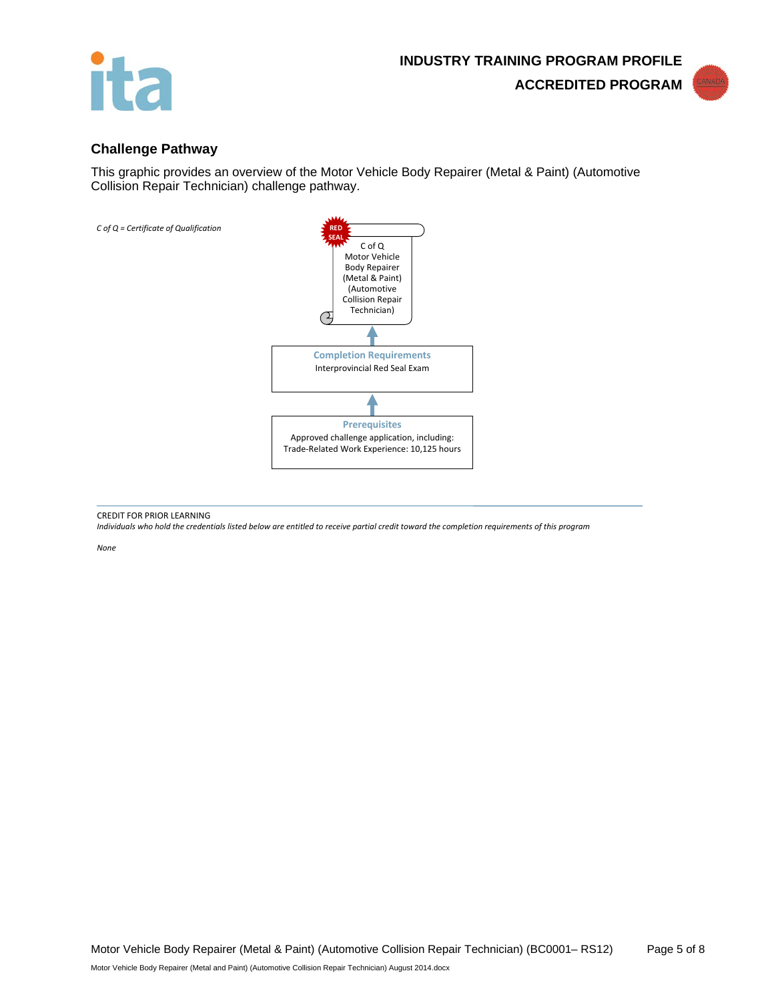



#### **Challenge Pathway**

This graphic provides an overview of the Motor Vehicle Body Repairer (Metal & Paint) (Automotive Collision Repair Technician) challenge pathway.



CREDIT FOR PRIOR LEARNING

*Individuals who hold the credentials listed below are entitled to receive partial credit toward the completion requirements of this program*

*None*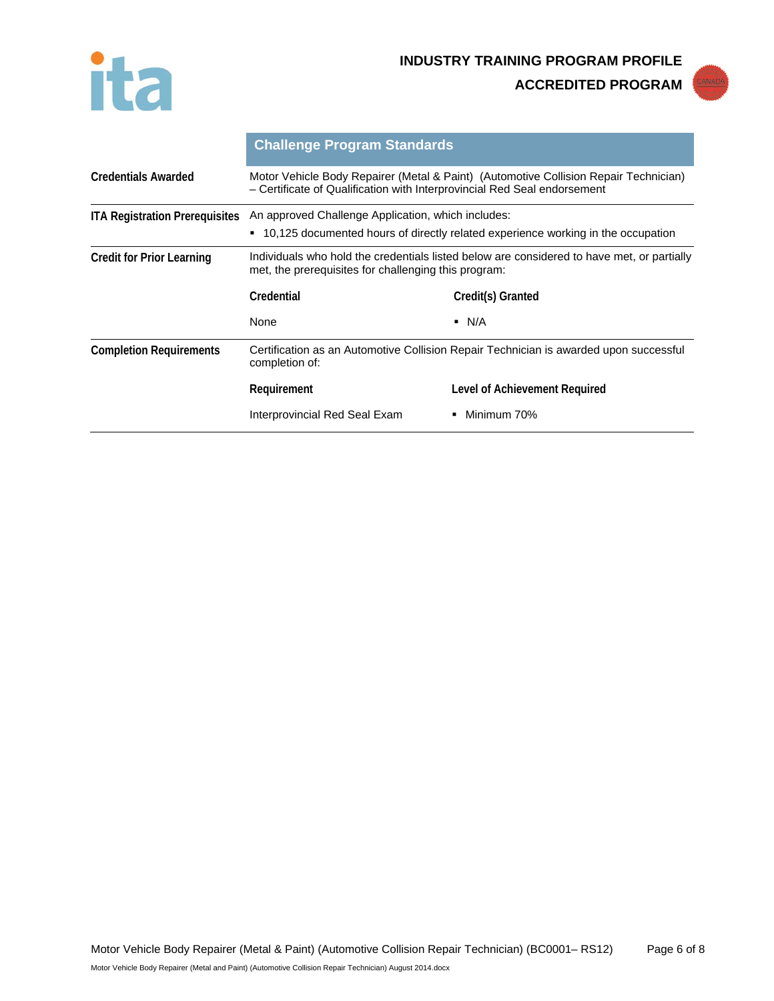



|                                       | <b>Challenge Program Standards</b>                                                                                                                               |                               |  |
|---------------------------------------|------------------------------------------------------------------------------------------------------------------------------------------------------------------|-------------------------------|--|
| <b>Credentials Awarded</b>            | Motor Vehicle Body Repairer (Metal & Paint) (Automotive Collision Repair Technician)<br>- Certificate of Qualification with Interprovincial Red Seal endorsement |                               |  |
| <b>ITA Registration Prerequisites</b> | An approved Challenge Application, which includes:<br>■ 10,125 documented hours of directly related experience working in the occupation                         |                               |  |
| <b>Credit for Prior Learning</b>      | Individuals who hold the credentials listed below are considered to have met, or partially<br>met, the prerequisites for challenging this program:               |                               |  |
|                                       | Credential                                                                                                                                                       | Credit(s) Granted             |  |
|                                       | None                                                                                                                                                             | $\blacksquare$ N/A            |  |
| <b>Completion Requirements</b>        | Certification as an Automotive Collision Repair Technician is awarded upon successful<br>completion of:                                                          |                               |  |
|                                       | Requirement                                                                                                                                                      | Level of Achievement Required |  |
|                                       | Interprovincial Red Seal Exam                                                                                                                                    | Minimum 70%<br>۰.             |  |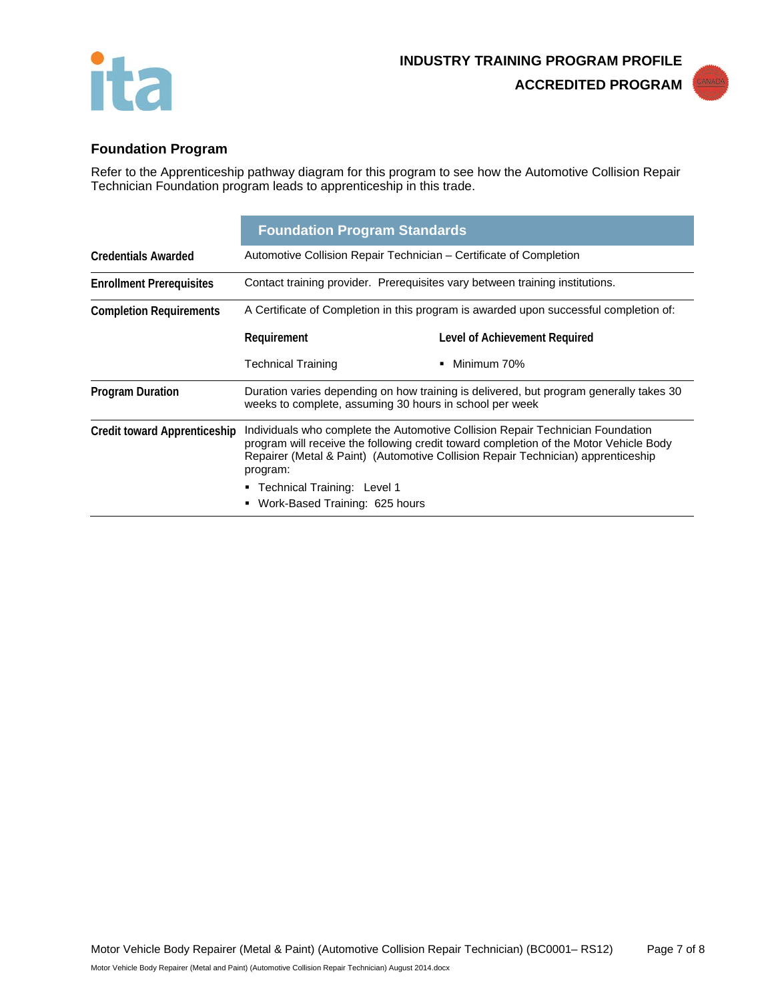



# **Foundation Program**

Refer to the Apprenticeship pathway diagram for this program to see how the Automotive Collision Repair Technician Foundation program leads to apprenticeship in this trade.

|                                     | <b>Foundation Program Standards</b>                                                                                                               |                                                                                                                                                                                                                                                             |  |
|-------------------------------------|---------------------------------------------------------------------------------------------------------------------------------------------------|-------------------------------------------------------------------------------------------------------------------------------------------------------------------------------------------------------------------------------------------------------------|--|
| <b>Credentials Awarded</b>          | Automotive Collision Repair Technician – Certificate of Completion                                                                                |                                                                                                                                                                                                                                                             |  |
| <b>Enrollment Prerequisites</b>     | Contact training provider. Prerequisites vary between training institutions.                                                                      |                                                                                                                                                                                                                                                             |  |
| <b>Completion Requirements</b>      | A Certificate of Completion in this program is awarded upon successful completion of:                                                             |                                                                                                                                                                                                                                                             |  |
|                                     | Requirement                                                                                                                                       | Level of Achievement Required                                                                                                                                                                                                                               |  |
|                                     | Technical Training                                                                                                                                | Minimum 70%<br>٠                                                                                                                                                                                                                                            |  |
| <b>Program Duration</b>             | Duration varies depending on how training is delivered, but program generally takes 30<br>weeks to complete, assuming 30 hours in school per week |                                                                                                                                                                                                                                                             |  |
| <b>Credit toward Apprenticeship</b> | program:                                                                                                                                          | Individuals who complete the Automotive Collision Repair Technician Foundation<br>program will receive the following credit toward completion of the Motor Vehicle Body<br>Repairer (Metal & Paint) (Automotive Collision Repair Technician) apprenticeship |  |
|                                     | ■ Technical Training: Level 1<br>• Work-Based Training: 625 hours                                                                                 |                                                                                                                                                                                                                                                             |  |